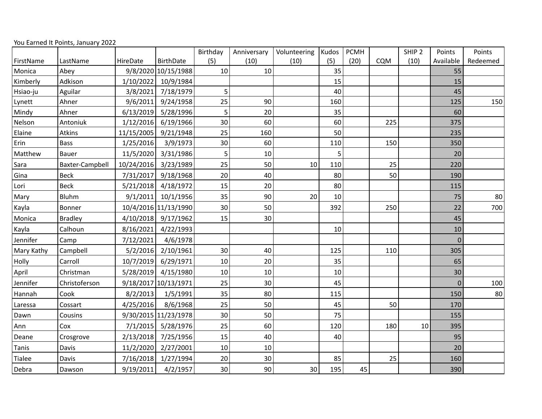| You Earned It Points, January 2022 |  |
|------------------------------------|--|
|------------------------------------|--|

|            |                 |            |                      | Birthday | Anniversary | Volunteering | Kudos | <b>PCMH</b> |     | SHIP <sub>2</sub> | Points         | Points   |
|------------|-----------------|------------|----------------------|----------|-------------|--------------|-------|-------------|-----|-------------------|----------------|----------|
| FirstName  | LastName        | HireDate   | <b>BirthDate</b>     | (5)      | (10)        | (10)         | (5)   | (20)        | CQM | (10)              | Available      | Redeemed |
| Monica     | Abey            |            | 9/8/2020 10/15/1988  | 10       | 10          |              | 35    |             |     |                   | 55             |          |
| Kimberly   | Adkison         | 1/10/2022  | 10/9/1984            |          |             |              | 15    |             |     |                   | 15             |          |
| Hsiao-ju   | Aguilar         | 3/8/2021   | 7/18/1979            | 5        |             |              | 40    |             |     |                   | 45             |          |
| Lynett     | Ahner           | 9/6/2011   | 9/24/1958            | 25       | 90          |              | 160   |             |     |                   | 125            | 150      |
| Mindy      | Ahner           | 6/13/2019  | 5/28/1996            | 5        | 20          |              | 35    |             |     |                   | 60             |          |
| Nelson     | Antoniuk        | 1/12/2016  | 6/19/1966            | 30       | 60          |              | 60    |             | 225 |                   | 375            |          |
| Elaine     | Atkins          | 11/15/2005 | 9/21/1948            | 25       | 160         |              | 50    |             |     |                   | 235            |          |
| Erin       | <b>Bass</b>     | 1/25/2016  | 3/9/1973             | 30       | 60          |              | 110   |             | 150 |                   | 350            |          |
| Matthew    | Bauer           | 11/5/2020  | 3/31/1986            | 5        | 10          |              | 5     |             |     |                   | 20             |          |
| Sara       | Baxter-Campbell | 10/24/2016 | 3/23/1989            | 25       | 50          | 10           | 110   |             | 25  |                   | 220            |          |
| Gina       | <b>Beck</b>     | 7/31/2017  | 9/18/1968            | 20       | 40          |              | 80    |             | 50  |                   | 190            |          |
| Lori       | <b>Beck</b>     | 5/21/2018  | 4/18/1972            | 15       | 20          |              | 80    |             |     |                   | 115            |          |
| Mary       | Bluhm           | 9/1/2011   | 10/1/1956            | 35       | 90          | 20           | 10    |             |     |                   | 75             | 80       |
| Kayla      | Bonner          |            | 10/4/2016 11/13/1990 | 30       | 50          |              | 392   |             | 250 |                   | 22             | 700      |
| Monica     | <b>Bradley</b>  |            | 4/10/2018 9/17/1962  | 15       | 30          |              |       |             |     |                   | 45             |          |
| Kayla      | Calhoun         | 8/16/2021  | 4/22/1993            |          |             |              | 10    |             |     |                   | 10             |          |
| Jennifer   | Camp            | 7/12/2021  | 4/6/1978             |          |             |              |       |             |     |                   | $\overline{0}$ |          |
| Mary Kathy | Campbell        | 5/2/2016   | 2/10/1961            | 30       | 40          |              | 125   |             | 110 |                   | 305            |          |
| Holly      | Carroll         | 10/7/2019  | 6/29/1971            | 10       | 20          |              | 35    |             |     |                   | 65             |          |
| April      | Christman       | 5/28/2019  | 4/15/1980            | 10       | 10          |              | 10    |             |     |                   | 30             |          |
| Jennifer   | Christoferson   |            | 9/18/2017 10/13/1971 | 25       | 30          |              | 45    |             |     |                   | $\overline{0}$ | 100      |
| Hannah     | Cook            | 8/2/2013   | 1/5/1991             | 35       | 80          |              | 115   |             |     |                   | 150            | 80       |
| Laressa    | Cossart         | 4/25/2016  | 8/6/1968             | 25       | 50          |              | 45    |             | 50  |                   | 170            |          |
| Dawn       | Cousins         |            | 9/30/2015 11/23/1978 | 30       | 50          |              | 75    |             |     |                   | 155            |          |
| Ann        | Cox             |            | 7/1/2015 5/28/1976   | 25       | 60          |              | 120   |             | 180 | 10                | 395            |          |
| Deane      | Crosgrove       | 2/13/2018  | 7/25/1956            | 15       | 40          |              | 40    |             |     |                   | 95             |          |
| Tanis      | Davis           | 11/2/2020  | 2/27/2001            | 10       | 10          |              |       |             |     |                   | 20             |          |
| Tialee     | Davis           | 7/16/2018  | 1/27/1994            | 20       | 30          |              | 85    |             | 25  |                   | 160            |          |
| Debra      | Dawson          | 9/19/2011  | 4/2/1957             | 30       | 90          | 30           | 195   | 45          |     |                   | 390            |          |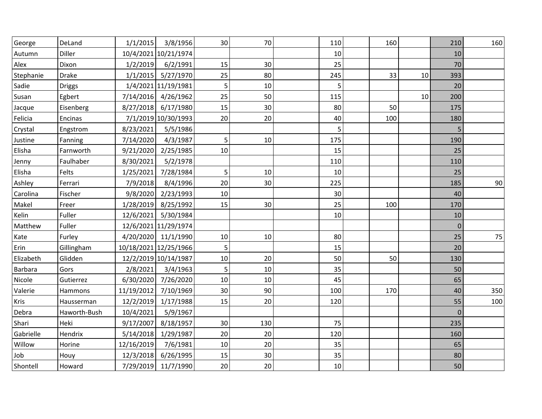| George      | DeLand        | 1/1/2015              | 3/8/1956             | 30          | 70  | 110 | 160 |    | 210      | 160 |
|-------------|---------------|-----------------------|----------------------|-------------|-----|-----|-----|----|----------|-----|
| Autumn      | Diller        |                       | 10/4/2021 10/21/1974 |             |     | 10  |     |    | 10       |     |
| Alex        | Dixon         | 1/2/2019              | 6/2/1991             | 15          | 30  | 25  |     |    | 70       |     |
| Stephanie   | <b>Drake</b>  |                       | 1/1/2015 5/27/1970   | 25          | 80  | 245 | 33  | 10 | 393      |     |
| Sadie       | <b>Driggs</b> |                       | 1/4/2021 11/19/1981  | 5           | 10  | 5   |     |    | 20       |     |
| Susan       | Egbert        |                       | 7/14/2016 4/26/1962  | 25          | 50  | 115 |     | 10 | 200      |     |
| Jacque      | Eisenberg     |                       | 8/27/2018 6/17/1980  | 15          | 30  | 80  | 50  |    | 175      |     |
| Felicia     | Encinas       |                       | 7/1/2019 10/30/1993  | 20          | 20  | 40  | 100 |    | 180      |     |
| Crystal     | Engstrom      | 8/23/2021             | 5/5/1986             |             |     | 5   |     |    | 5        |     |
| Justine     | Fanning       | 7/14/2020             | 4/3/1987             | 5           | 10  | 175 |     |    | 190      |     |
| Elisha      | Farnworth     | 9/21/2020             | 2/25/1985            | 10          |     | 15  |     |    | 25       |     |
| Jenny       | Faulhaber     | 8/30/2021             | 5/2/1978             |             |     | 110 |     |    | 110      |     |
| Elisha      | Felts         | 1/25/2021             | 7/28/1984            | 5           | 10  | 10  |     |    | 25       |     |
| Ashley      | Ferrari       | 7/9/2018              | 8/4/1996             | 20          | 30  | 225 |     |    | 185      | 90  |
| Carolina    | Fischer       | 9/8/2020              | 2/23/1993            | 10          |     | 30  |     |    | 40       |     |
| Makel       | Freer         |                       | 1/28/2019 8/25/1992  | 15          | 30  | 25  | 100 |    | 170      |     |
| Kelin       | Fuller        |                       | 12/6/2021 5/30/1984  |             |     | 10  |     |    | 10       |     |
| Matthew     | Fuller        |                       | 12/6/2021 11/29/1974 |             |     |     |     |    | $\Omega$ |     |
| Kate        | Furley        |                       | 4/20/2020 11/1/1990  | 10          | 10  | 80  |     |    | 25       | 75  |
| Erin        | Gillingham    | 10/18/2021 12/25/1966 |                      | 5           |     | 15  |     |    | 20       |     |
| Elizabeth   | Glidden       |                       | 12/2/2019 10/14/1987 | 10          | 20  | 50  | 50  |    | 130      |     |
| Barbara     | Gors          | 2/8/2021              | 3/4/1963             | $\mathsf S$ | 10  | 35  |     |    | 50       |     |
| Nicole      | Gutierrez     |                       | 6/30/2020 7/26/2020  | 10          | 10  | 45  |     |    | 65       |     |
| Valerie     | Hammons       |                       | 11/19/2012 7/10/1969 | 30          | 90  | 100 | 170 |    | 40       | 350 |
| <b>Kris</b> | Hausserman    |                       | 12/2/2019 1/17/1988  | 15          | 20  | 120 |     |    | 55       | 100 |
| Debra       | Haworth-Bush  | 10/4/2021             | 5/9/1967             |             |     |     |     |    | $\Omega$ |     |
| Shari       | Heki          | 9/17/2007             | 8/18/1957            | 30          | 130 | 75  |     |    | 235      |     |
| Gabrielle   | Hendrix       | 5/14/2018             | 1/29/1987            | 20          | 20  | 120 |     |    | 160      |     |
| Willow      | Horine        | 12/16/2019            | 7/6/1981             | 10          | 20  | 35  |     |    | 65       |     |
| Job         | Houy          | 12/3/2018             | 6/26/1995            | 15          | 30  | 35  |     |    | 80       |     |
| Shontell    | Howard        | 7/29/2019             | 11/7/1990            | 20          | 20  | 10  |     |    | 50       |     |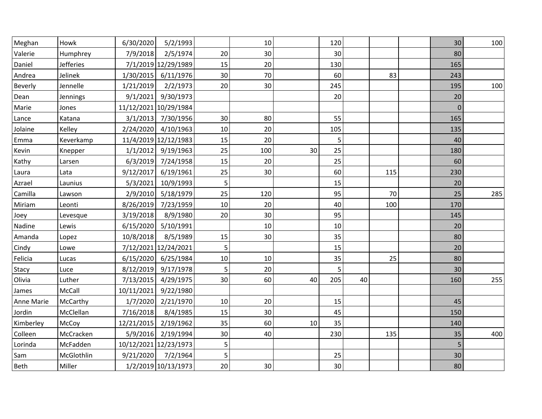| Meghan     | Howk             | 6/30/2020             | 5/2/1993             |    | 10  |    | 120 |    |     | 30          | 100 |
|------------|------------------|-----------------------|----------------------|----|-----|----|-----|----|-----|-------------|-----|
| Valerie    | Humphrey         | 7/9/2018              | 2/5/1974             | 20 | 30  |    | 30  |    |     | 80          |     |
| Daniel     | <b>Jefferies</b> |                       | 7/1/2019 12/29/1989  | 15 | 20  |    | 130 |    |     | 165         |     |
| Andrea     | Jelinek          | 1/30/2015             | 6/11/1976            | 30 | 70  |    | 60  |    | 83  | 243         |     |
| Beverly    | Jennelle         | 1/21/2019             | 2/2/1973             | 20 | 30  |    | 245 |    |     | 195         | 100 |
| Dean       | Jennings         | 9/1/2021              | 9/30/1973            |    |     |    | 20  |    |     | 20          |     |
| Marie      | Jones            | 11/12/2021 10/29/1984 |                      |    |     |    |     |    |     | $\mathbf 0$ |     |
| Lance      | Katana           | 3/1/2013              | 7/30/1956            | 30 | 80  |    | 55  |    |     | 165         |     |
| Jolaine    | Kelley           | 2/24/2020             | 4/10/1963            | 10 | 20  |    | 105 |    |     | 135         |     |
| Emma       | Keverkamp        |                       | 11/4/2019 12/12/1983 | 15 | 20  |    | 5   |    |     | 40          |     |
| Kevin      | Knepper          | 1/1/2012              | 9/19/1963            | 25 | 100 | 30 | 25  |    |     | 180         |     |
| Kathy      | Larsen           | 6/3/2019              | 7/24/1958            | 15 | 20  |    | 25  |    |     | 60          |     |
| Laura      | Lata             | 9/12/2017             | 6/19/1961            | 25 | 30  |    | 60  |    | 115 | 230         |     |
| Azrael     | Launius          | 5/3/2021              | 10/9/1993            | 5  |     |    | 15  |    |     | 20          |     |
| Camilla    | Lawson           | 2/9/2010              | 5/18/1979            | 25 | 120 |    | 95  |    | 70  | 25          | 285 |
| Miriam     | Leonti           | 8/26/2019             | 7/23/1959            | 10 | 20  |    | 40  |    | 100 | 170         |     |
| Joey       | Levesque         | 3/19/2018             | 8/9/1980             | 20 | 30  |    | 95  |    |     | 145         |     |
| Nadine     | Lewis            | 6/15/2020             | 5/10/1991            |    | 10  |    | 10  |    |     | 20          |     |
| Amanda     | Lopez            | 10/8/2018             | 8/5/1989             | 15 | 30  |    | 35  |    |     | 80          |     |
| Cindy      | Lowe             |                       | 7/12/2021 12/24/2021 | 5  |     |    | 15  |    |     | 20          |     |
| Felicia    | Lucas            | 6/15/2020             | 6/25/1984            | 10 | 10  |    | 35  |    | 25  | 80          |     |
| Stacy      | Luce             | 8/12/2019             | 9/17/1978            | 5  | 20  |    | 5   |    |     | 30          |     |
| Olivia     | Luther           | 7/13/2015             | 4/29/1975            | 30 | 60  | 40 | 205 | 40 |     | 160         | 255 |
| James      | McCall           | 10/11/2021            | 9/22/1980            |    |     |    |     |    |     |             |     |
| Anne Marie | McCarthy         | 1/7/2020              | 2/21/1970            | 10 | 20  |    | 15  |    |     | 45          |     |
| Jordin     | McClellan        | 7/16/2018             | 8/4/1985             | 15 | 30  |    | 45  |    |     | 150         |     |
| Kimberley  | McCoy            | 12/21/2015            | 2/19/1962            | 35 | 60  | 10 | 35  |    |     | 140         |     |
| Colleen    | McCracken        | 5/9/2016              | 2/19/1994            | 30 | 40  |    | 230 |    | 135 | 35          | 400 |
| Lorinda    | McFadden         | 10/12/2021 12/23/1973 |                      | 5  |     |    |     |    |     | 5           |     |
| Sam        | McGlothlin       | 9/21/2020             | 7/2/1964             | 5  |     |    | 25  |    |     | 30          |     |
| Beth       | Miller           |                       | 1/2/2019 10/13/1973  | 20 | 30  |    | 30  |    |     | 80          |     |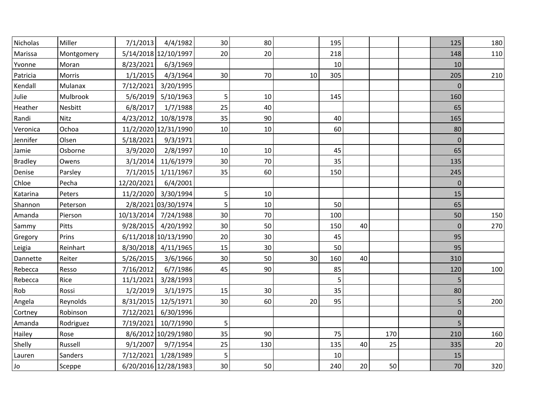| Nicholas       | Miller     | 7/1/2013   | 4/4/1982             | 30 | 80  |    | 195 |    |     | 125            | 180 |
|----------------|------------|------------|----------------------|----|-----|----|-----|----|-----|----------------|-----|
| Marissa        | Montgomery |            | 5/14/2018 12/10/1997 | 20 | 20  |    | 218 |    |     | 148            | 110 |
| Yvonne         | Moran      | 8/23/2021  | 6/3/1969             |    |     |    | 10  |    |     | 10             |     |
| Patricia       | Morris     | 1/1/2015   | 4/3/1964             | 30 | 70  | 10 | 305 |    |     | 205            | 210 |
| Kendall        | Mulanax    | 7/12/2021  | 3/20/1995            |    |     |    |     |    |     | $\Omega$       |     |
| Julie          | Mulbrook   | 5/6/2019   | 5/10/1963            | 5  | 10  |    | 145 |    |     | 160            |     |
| Heather        | Nesbitt    | 6/8/2017   | 1/7/1988             | 25 | 40  |    |     |    |     | 65             |     |
| Randi          | Nitz       | 4/23/2012  | 10/8/1978            | 35 | 90  |    | 40  |    |     | 165            |     |
| Veronica       | Ochoa      |            | 11/2/2020 12/31/1990 | 10 | 10  |    | 60  |    |     | 80             |     |
| Jennifer       | Olsen      | 5/18/2021  | 9/3/1971             |    |     |    |     |    |     | $\Omega$       |     |
| Jamie          | Osborne    | 3/9/2020   | 2/8/1997             | 10 | 10  |    | 45  |    |     | 65             |     |
| <b>Bradley</b> | Owens      | 3/1/2014   | 11/6/1979            | 30 | 70  |    | 35  |    |     | 135            |     |
| Denise         | Parsley    | 7/1/2015   | 1/11/1967            | 35 | 60  |    | 150 |    |     | 245            |     |
| Chloe          | Pecha      | 12/20/2021 | 6/4/2001             |    |     |    |     |    |     | $\mathbf 0$    |     |
| Katarina       | Peters     | 11/2/2020  | 3/30/1994            | 5  | 10  |    |     |    |     | 15             |     |
| Shannon        | Peterson   |            | 2/8/2021 03/30/1974  | 5  | 10  |    | 50  |    |     | 65             |     |
| Amanda         | Pierson    | 10/13/2014 | 7/24/1988            | 30 | 70  |    | 100 |    |     | 50             | 150 |
| Sammy          | Pitts      | 9/28/2015  | 4/20/1992            | 30 | 50  |    | 150 | 40 |     | $\Omega$       | 270 |
| Gregory        | Prins      |            | 6/11/2018 10/13/1990 | 20 | 30  |    | 45  |    |     | 95             |     |
| Leigia         | Reinhart   |            | 8/30/2018 4/11/1965  | 15 | 30  |    | 50  |    |     | 95             |     |
| Dannette       | Reiter     | 5/26/2015  | 3/6/1966             | 30 | 50  | 30 | 160 | 40 |     | 310            |     |
| Rebecca        | Resso      | 7/16/2012  | 6/7/1986             | 45 | 90  |    | 85  |    |     | 120            | 100 |
| Rebecca        | Rice       | 11/1/2021  | 3/28/1993            |    |     |    | 5   |    |     | 5              |     |
| Rob            | Rossi      | 1/2/2019   | 3/1/1975             | 15 | 30  |    | 35  |    |     | 80             |     |
| Angela         | Reynolds   | 8/31/2015  | 12/5/1971            | 30 | 60  | 20 | 95  |    |     | 5              | 200 |
| Cortney        | Robinson   | 7/12/2021  | 6/30/1996            |    |     |    |     |    |     | $\overline{0}$ |     |
| Amanda         | Rodriguez  | 7/19/2021  | 10/7/1990            | 5  |     |    |     |    |     | 5              |     |
| Hailey         | Rose       |            | 8/6/2012 10/29/1980  | 35 | 90  |    | 75  |    | 170 | 210            | 160 |
| Shelly         | Russell    | 9/1/2007   | 9/7/1954             | 25 | 130 |    | 135 | 40 | 25  | 335            | 20  |
| Lauren         | Sanders    |            | 7/12/2021 1/28/1989  | 5  |     |    | 10  |    |     | 15             |     |
| Jo             | Sceppe     |            | 6/20/2016 12/28/1983 | 30 | 50  |    | 240 | 20 | 50  | 70             | 320 |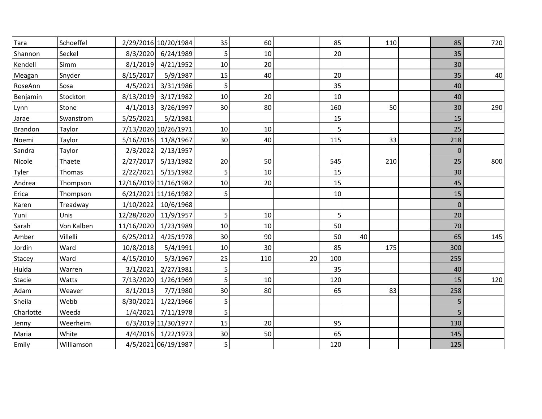| Tara           | Schoeffel  |           | 2/29/2016 10/20/1984  | 35     | 60  |    | 85  |    | 110 | 85       | 720 |
|----------------|------------|-----------|-----------------------|--------|-----|----|-----|----|-----|----------|-----|
| Shannon        | Seckel     |           | 8/3/2020 6/24/1989    | 5      | 10  |    | 20  |    |     | 35       |     |
| Kendell        | Simm       | 8/1/2019  | 4/21/1952             | 10     | 20  |    |     |    |     | 30       |     |
| Meagan         | Snyder     | 8/15/2017 | 5/9/1987              | 15     | 40  |    | 20  |    |     | 35       | 40  |
| RoseAnn        | Sosa       |           | 4/5/2021 3/31/1986    | 5      |     |    | 35  |    |     | 40       |     |
| Benjamin       | Stockton   |           | 8/13/2019 3/17/1982   | $10\,$ | 20  |    | 10  |    |     | 40       |     |
| Lynn           | Stone      |           | 4/1/2013 3/26/1997    | 30     | 80  |    | 160 |    | 50  | 30       | 290 |
| Jarae          | Swanstrom  | 5/25/2021 | 5/2/1981              |        |     |    | 15  |    |     | 15       |     |
| <b>Brandon</b> | Taylor     |           | 7/13/2020 10/26/1971  | 10     | 10  |    | 5   |    |     | 25       |     |
| Noemi          | Taylor     |           | 5/16/2016 11/8/1967   | 30     | 40  |    | 115 |    | 33  | 218      |     |
| Sandra         | Taylor     |           | 2/3/2022 2/13/1957    |        |     |    |     |    |     | $\Omega$ |     |
| Nicole         | Thaete     |           | 2/27/2017 5/13/1982   | 20     | 50  |    | 545 |    | 210 | 25       | 800 |
| Tyler          | Thomas     |           | 2/22/2021 5/15/1982   | 5      | 10  |    | 15  |    |     | 30       |     |
| Andrea         | Thompson   |           | 12/16/2019 11/16/1982 | 10     | 20  |    | 15  |    |     | 45       |     |
| Erica          | Thompson   |           | 6/21/2021 11/16/1982  | 5      |     |    | 10  |    |     | 15       |     |
| Karen          | Treadway   |           | 1/10/2022 10/6/1968   |        |     |    |     |    |     | $\Omega$ |     |
| Yuni           | Unis       |           | 12/28/2020 11/9/1957  | 5      | 10  |    | 5   |    |     | 20       |     |
| Sarah          | Von Kalben |           | 11/16/2020 1/23/1989  | 10     | 10  |    | 50  |    |     | 70       |     |
| Amber          | Villelli   | 6/25/2012 | 4/25/1978             | 30     | 90  |    | 50  | 40 |     | 65       | 145 |
| Jordin         | Ward       | 10/8/2018 | 5/4/1991              | 10     | 30  |    | 85  |    | 175 | 300      |     |
| Stacey         | Ward       | 4/15/2010 | 5/3/1967              | 25     | 110 | 20 | 100 |    |     | 255      |     |
| Hulda          | Warren     | 3/1/2021  | 2/27/1981             | 5      |     |    | 35  |    |     | 40       |     |
| Stacie         | Watts      |           | 7/13/2020 1/26/1969   | 5      | 10  |    | 120 |    |     | 15       | 120 |
| Adam           | Weaver     | 8/1/2013  | 7/7/1980              | 30     | 80  |    | 65  |    | 83  | 258      |     |
| Sheila         | Webb       |           | 8/30/2021 1/22/1966   | 5      |     |    |     |    |     | 5        |     |
| Charlotte      | Weeda      | 1/4/2021  | 7/11/1978             | 5      |     |    |     |    |     | 5        |     |
| Jenny          | Weerheim   |           | 6/3/2019 11/30/1977   | 15     | 20  |    | 95  |    |     | 130      |     |
| Maria          | White      |           | 4/4/2016 1/22/1973    | 30     | 50  |    | 65  |    |     | 145      |     |
| Emily          | Williamson |           | 4/5/2021 06/19/1987   | 5      |     |    | 120 |    |     | 125      |     |